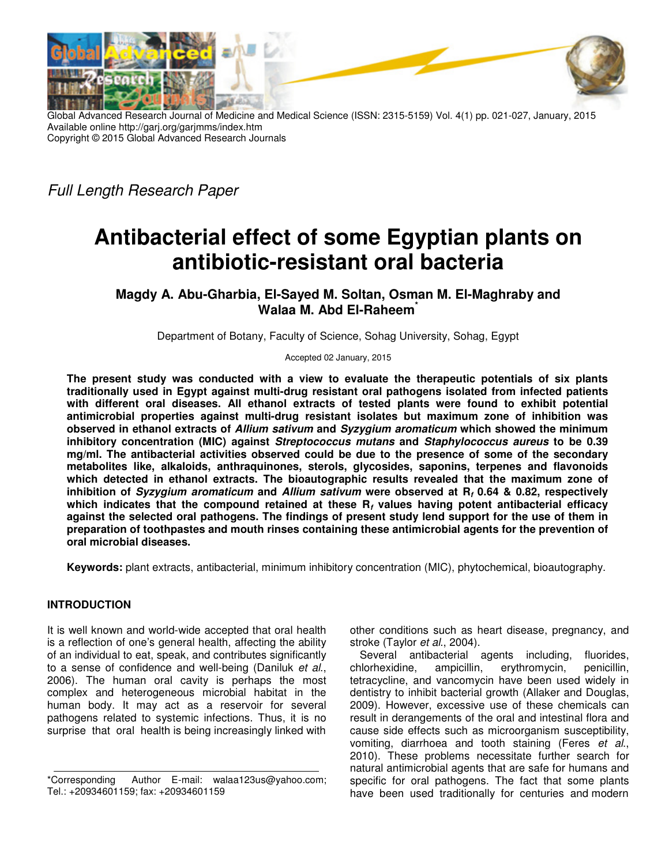

Global Advanced Research Journal of Medicine and Medical Science (ISSN: 2315-5159) Vol. 4(1) pp. 021-027, January, 2015 Available online http://garj.org/garjmms/index.htm Copyright © 2015 Global Advanced Research Journals

Full Length Research Paper

# **Antibacterial effect of some Egyptian plants on antibiotic-resistant oral bacteria**

**Magdy A. Abu-Gharbia, El-Sayed M. Soltan, Osman M. El-Maghraby and Walaa M. Abd El-Raheem\***

Department of Botany, Faculty of Science, Sohag University, Sohag, Egypt

Accepted 02 January, 2015

**The present study was conducted with a view to evaluate the therapeutic potentials of six plants traditionally used in Egypt against multi-drug resistant oral pathogens isolated from infected patients with different oral diseases. All ethanol extracts of tested plants were found to exhibit potential antimicrobial properties against multi-drug resistant isolates but maximum zone of inhibition was observed in ethanol extracts of Allium sativum and Syzygium aromaticum which showed the minimum inhibitory concentration (MIC) against Streptococcus mutans and Staphylococcus aureus to be 0.39 mg/ml. The antibacterial activities observed could be due to the presence of some of the secondary metabolites like, alkaloids, anthraquinones, sterols, glycosides, saponins, terpenes and flavonoids which detected in ethanol extracts. The bioautographic results revealed that the maximum zone of inhibition of Syzygium aromaticum and Allium sativum were observed at R<sup>f</sup> 0.64 & 0.82, respectively which indicates that the compound retained at these R<sup>f</sup> values having potent antibacterial efficacy against the selected oral pathogens. The findings of present study lend support for the use of them in preparation of toothpastes and mouth rinses containing these antimicrobial agents for the prevention of oral microbial diseases.** 

**Keywords:** plant extracts, antibacterial, minimum inhibitory concentration (MIC), phytochemical, bioautography.

# **INTRODUCTION**

It is well known and world-wide accepted that oral health is a reflection of one's general health, affecting the ability of an individual to eat, speak, and contributes significantly to a sense of confidence and well-being (Daniluk et al., 2006). The human oral cavity is perhaps the most complex and heterogeneous microbial habitat in the human body. It may act as a reservoir for several pathogens related to systemic infections. Thus, it is no surprise that oral health is being increasingly linked with

other conditions such as heart disease, pregnancy, and stroke (Taylor et al., 2004).

Several antibacterial agents including, fluorides, chlorhexidine, ampicillin, erythromycin, penicillin, tetracycline, and vancomycin have been used widely in dentistry to inhibit bacterial growth (Allaker and Douglas, 2009). However, excessive use of these chemicals can result in derangements of the oral and intestinal flora and cause side effects such as microorganism susceptibility, vomiting, diarrhoea and tooth staining (Feres et al., 2010). These problems necessitate further search for natural antimicrobial agents that are safe for humans and specific for oral pathogens. The fact that some plants have been used traditionally for centuries and modern

<sup>\*</sup>Corresponding Author E-mail: walaa123us@yahoo.com; Tel.: +20934601159; fax: +20934601159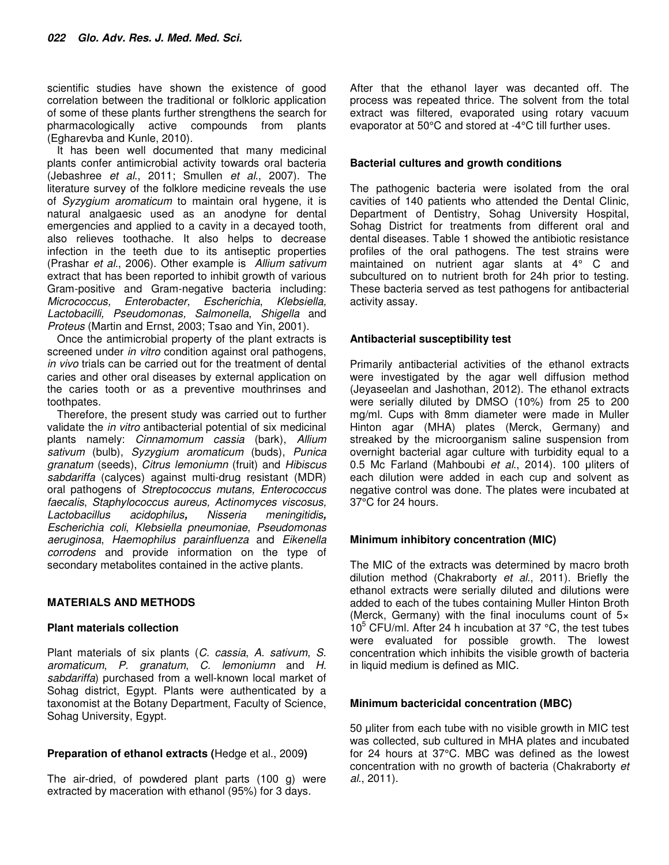scientific studies have shown the existence of good correlation between the traditional or folkloric application of some of these plants further strengthens the search for pharmacologically active compounds from plants (Egharevba and Kunle, 2010).

It has been well documented that many medicinal plants confer antimicrobial activity towards oral bacteria (Jebashree et al., 2011; Smullen et al., 2007). The literature survey of the folklore medicine reveals the use of Syzygium aromaticum to maintain oral hygene, it is natural analgaesic used as an anodyne for dental emergencies and applied to a cavity in a decayed tooth, also relieves toothache. It also helps to decrease infection in the teeth due to its antiseptic properties (Prashar et al., 2006). Other example is Allium sativum extract that has been reported to inhibit growth of various Gram-positive and Gram-negative bacteria including: Micrococcus, Enterobacter, Escherichia, Klebsiella, Lactobacilli, Pseudomonas, Salmonella, Shigella and Proteus (Martin and Ernst, 2003; Tsao and Yin, 2001).

Once the antimicrobial property of the plant extracts is screened under *in vitro* condition against oral pathogens. in vivo trials can be carried out for the treatment of dental caries and other oral diseases by external application on the caries tooth or as a preventive mouthrinses and toothpates.

Therefore, the present study was carried out to further validate the in vitro antibacterial potential of six medicinal plants namely: Cinnamomum cassia (bark), Allium sativum (bulb), Syzygium aromaticum (buds), Punica granatum (seeds), Citrus lemoniumn (fruit) and Hibiscus sabdariffa (calyces) against multi-drug resistant (MDR) oral pathogens of Streptococcus mutans, Enterococcus faecalis, Staphylococcus aureus, Actinomyces viscosus, Lactobacillus acidophilus**,** Nisseria meningitidis**,** Escherichia coli, Klebsiella pneumoniae, Pseudomonas aeruginosa, Haemophilus parainfluenza and Eikenella corrodens and provide information on the type of secondary metabolites contained in the active plants.

# **MATERIALS AND METHODS**

#### **Plant materials collection**

Plant materials of six plants (C. cassia, A. sativum, S. aromaticum, P. granatum, C. lemoniumn and H. sabdariffa) purchased from a well-known local market of Sohag district, Egypt. Plants were authenticated by a taxonomist at the Botany Department, Faculty of Science, Sohag University, Egypt.

# **Preparation of ethanol extracts (**Hedge et al., 2009**)**

The air-dried, of powdered plant parts (100 g) were extracted by maceration with ethanol (95%) for 3 days.

After that the ethanol layer was decanted off. The process was repeated thrice. The solvent from the total extract was filtered, evaporated using rotary vacuum evaporator at 50°C and stored at -4°C till further uses.

## **Bacterial cultures and growth conditions**

The pathogenic bacteria were isolated from the oral cavities of 140 patients who attended the Dental Clinic, Department of Dentistry, Sohag University Hospital, Sohag District for treatments from different oral and dental diseases. Table 1 showed the antibiotic resistance profiles of the oral pathogens. The test strains were maintained on nutrient agar slants at 4° C and subcultured on to nutrient broth for 24h prior to testing. These bacteria served as test pathogens for antibacterial activity assay.

## **Antibacterial susceptibility test**

Primarily antibacterial activities of the ethanol extracts were investigated by the agar well diffusion method (Jeyaseelan and Jashothan, 2012). The ethanol extracts were serially diluted by DMSO (10%) from 25 to 200 mg/ml. Cups with 8mm diameter were made in Muller Hinton agar (MHA) plates (Merck, Germany) and streaked by the microorganism saline suspension from overnight bacterial agar culture with turbidity equal to a 0.5 Mc Farland (Mahboubi et al., 2014). 100 uliters of each dilution were added in each cup and solvent as negative control was done. The plates were incubated at 37°C for 24 hours.

# **Minimum inhibitory concentration (MIC)**

The MIC of the extracts was determined by macro broth dilution method (Chakraborty et al., 2011). Briefly the ethanol extracts were serially diluted and dilutions were added to each of the tubes containing Muller Hinton Broth (Merck, Germany) with the final inoculums count of 5×  $10^5$  CFU/ml. After 24 h incubation at 37 °C, the test tubes were evaluated for possible growth. The lowest concentration which inhibits the visible growth of bacteria in liquid medium is defined as MIC.

#### **Minimum bactericidal concentration (MBC)**

50 µliter from each tube with no visible growth in MIC test was collected, sub cultured in MHA plates and incubated for 24 hours at 37°C. MBC was defined as the lowest concentration with no growth of bacteria (Chakraborty et al., 2011).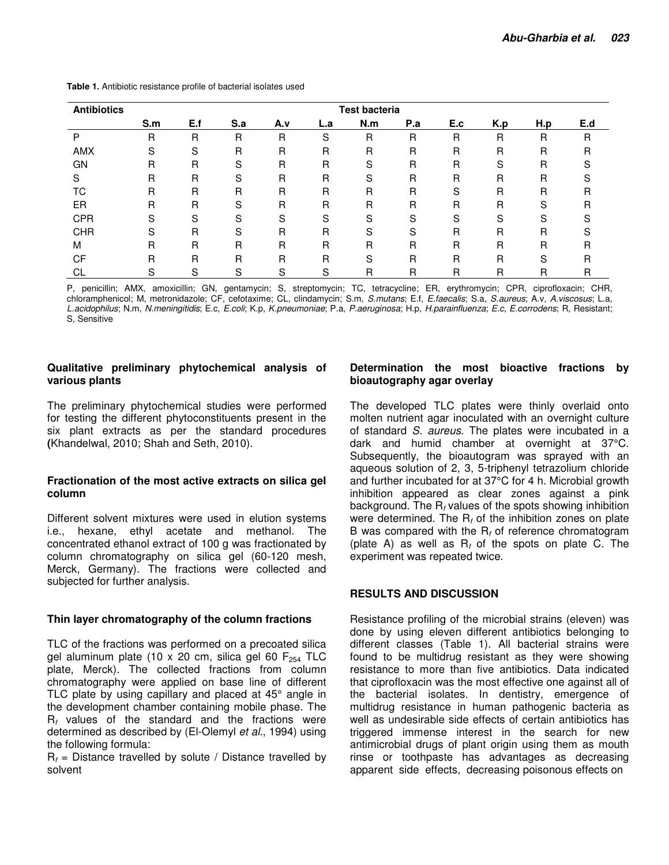| <b>Antibiotics</b> | <b>Test bacteria</b> |     |     |     |     |     |     |     |     |     |     |
|--------------------|----------------------|-----|-----|-----|-----|-----|-----|-----|-----|-----|-----|
|                    | S.m                  | E.f | S.a | A.v | L.a | N.m | P.a | E.c | K.p | H.p | E.d |
| P                  | R                    | R   | R   | R   | S   | R   | R   | R   | R   | R   | R   |
| <b>AMX</b>         | S                    | S   | R   | R   | R   | R   | R   | R   | R   | R   | R   |
| GΝ                 | R                    | R   | S   | R   | R   | S   | R   | R   | S   | R   |     |
|                    | R                    | R   | S   | R   | R   | S   | R   | R   | R   | R   |     |
| ТC                 | R                    | R   | R   | R   | R   | R   | R   | S   | R   | R   | R   |
| ER                 | R                    | R   | S   | R   | R   | R   | R   | R   | R   | S   | R   |
| <b>CPR</b>         | S                    | S   | S   | S   | S   | S   | S   | S   | S   | S   |     |
| <b>CHR</b>         | S                    | R   | S   | R   | R   | S   | S   | R   | R   | R   |     |
| M                  | R                    | R   | R   | R   | R   | R   | R   | R   | R   | R   | R   |
| CF                 | R                    | R   | R   | R   | R   | S   | R   | R   | R   | S   | R   |
| СL                 | S.                   | S   | S   | S   | S   | R   | R   | R   | R   | R   | R   |

**Table 1.** Antibiotic resistance profile of bacterial isolates used

P, penicillin; AMX, amoxicillin; GN, gentamycin; S, streptomycin; TC, tetracycline; ER, erythromycin; CPR, ciprofloxacin; CHR, chloramphenicol; M, metronidazole; CF, cefotaxime; CL, clindamycin; S.m, S.mutans; E.f, E.faecalis; S.a, S.aureus; A.v, A.viscosus; L.a, L.acidophilus; N.m, N.meningitidis; E.c, E.coli; K.p, K.pneumoniae; P.a, P.aeruginosa; H.p, H.parainfluenza; E.c, E.corrodens; R, Resistant; S, Sensitive

#### **Qualitative preliminary phytochemical analysis of various plants**

The preliminary phytochemical studies were performed for testing the different phytoconstituents present in the six plant extracts as per the standard procedures **(**Khandelwal, 2010; Shah and Seth, 2010).

#### **Fractionation of the most active extracts on silica gel column**

Different solvent mixtures were used in elution systems i.e., hexane, ethyl acetate and methanol. The concentrated ethanol extract of 100 g was fractionated by column chromatography on silica gel (60-120 mesh, Merck, Germany). The fractions were collected and subjected for further analysis.

#### **Thin layer chromatography of the column fractions**

TLC of the fractions was performed on a precoated silica gel aluminum plate (10 x 20 cm, silica gel 60  $F_{254}$  TLC plate, Merck). The collected fractions from column chromatography were applied on base line of different TLC plate by using capillary and placed at 45° angle in the development chamber containing mobile phase. The  $R_f$  values of the standard and the fractions were determined as described by (El-Olemyl et al., 1994) using the following formula:

 $R_f$  = Distance travelled by solute / Distance travelled by solvent

### **Determination the most bioactive fractions by bioautography agar overlay**

The developed TLC plates were thinly overlaid onto molten nutrient agar inoculated with an overnight culture of standard S. aureus. The plates were incubated in a dark and humid chamber at overnight at 37°C. Subsequently, the bioautogram was sprayed with an aqueous solution of 2, 3, 5-triphenyl tetrazolium chloride and further incubated for at 37°C for 4 h. Microbial growth inhibition appeared as clear zones against a pink background. The  $R_f$  values of the spots showing inhibition were determined. The  $R_f$  of the inhibition zones on plate B was compared with the  $R_f$  of reference chromatogram (plate A) as well as  $R_f$  of the spots on plate C. The experiment was repeated twice.

#### **RESULTS AND DISCUSSION**

Resistance profiling of the microbial strains (eleven) was done by using eleven different antibiotics belonging to different classes (Table 1). All bacterial strains were found to be multidrug resistant as they were showing resistance to more than five antibiotics. Data indicated that ciprofloxacin was the most effective one against all of the bacterial isolates. In dentistry, emergence of multidrug resistance in human pathogenic bacteria as well as undesirable side effects of certain antibiotics has triggered immense interest in the search for new antimicrobial drugs of plant origin using them as mouth rinse or toothpaste has advantages as decreasing apparent side effects, decreasing poisonous effects on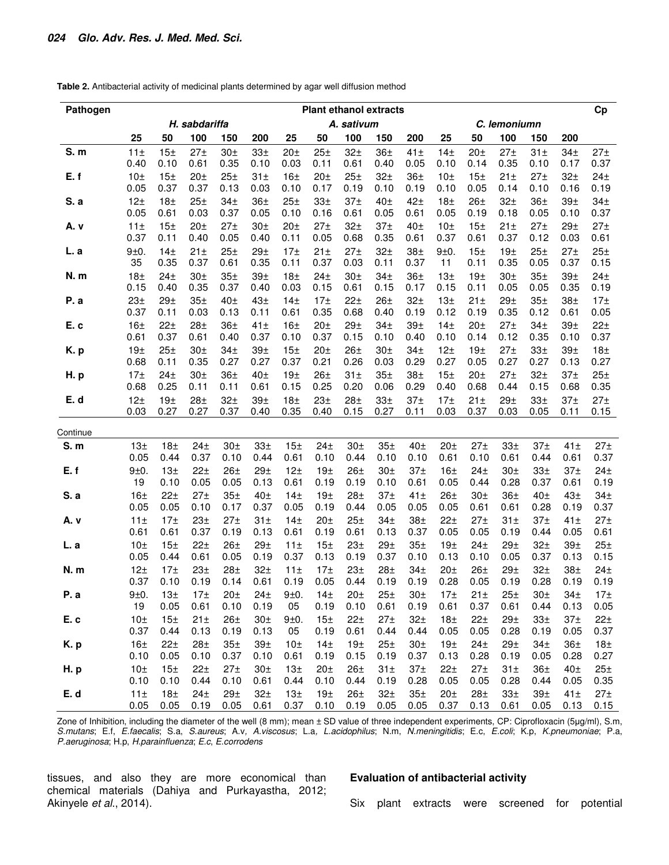**Table 2.** Antibacterial activity of medicinal plants determined by agar well diffusion method

| Pathogen   | <b>Plant ethanol extracts</b> |                         |                         |                         |                         |                         |                         |                         |                         |                         | Cp                      |                         |                         |                         |                         |                         |
|------------|-------------------------------|-------------------------|-------------------------|-------------------------|-------------------------|-------------------------|-------------------------|-------------------------|-------------------------|-------------------------|-------------------------|-------------------------|-------------------------|-------------------------|-------------------------|-------------------------|
|            | H. sabdariffa                 |                         |                         |                         |                         | A. sativum              |                         |                         |                         |                         |                         |                         | C. lemoniumn            |                         |                         |                         |
|            | 25                            | 50                      | 100                     | 150                     | 200                     | 25                      | 50                      | 100                     | 150                     | 200                     | 25                      | 50                      | 100                     | 150                     | 200                     |                         |
| S. m       | 11±                           | 15 <sub>±</sub>         | 27 <sub>±</sub>         | 30 <sub>±</sub>         | 33 <sup>±</sup>         | 20 <sub>±</sub>         | 25 <sub>±</sub>         | 32 <sub>±</sub>         | 36 <sub>±</sub>         | 41 <sub>±</sub>         | 14 <sub>±</sub>         | 20 <sub>±</sub>         | 27 <sub>±</sub>         | 31 <sup>±</sup>         | 34 <sub>±</sub>         | 27 <sub>±</sub>         |
| E.f        | 0.40<br>10 <sub>±</sub>       | 0.10<br>15 <sub>±</sub> | 0.61<br>20 <sub>±</sub> | 0.35<br>25 <sub>±</sub> | 0.10<br>31 <sub>±</sub> | 0.03<br>16 <sub>±</sub> | 0.11<br>20 <sub>±</sub> | 0.61<br>25 <sub>±</sub> | 0.40<br>32 <sub>±</sub> | 0.05<br>36 <sub>±</sub> | 0.10<br>10 <sub>±</sub> | 0.14<br>15 <sub>±</sub> | 0.35<br>21 <sub>±</sub> | 0.10<br>27 <sub>±</sub> | 0.17<br>32 <sub>±</sub> | 0.37<br>24 <sub>±</sub> |
|            | 0.05                          | 0.37                    | 0.37                    | 0.13                    | 0.03                    | 0.10                    | 0.17                    | 0.19                    | 0.10                    | 0.19                    | 0.10                    | 0.05                    | 0.14                    | 0.10                    | 0.16                    | 0.19                    |
| S. a       | 12 <sub>±</sub>               | 18 <sub>±</sub>         | 25 <sub>±</sub>         | 34 <sub>±</sub>         | 36 <sub>±</sub>         | 25 <sub>±</sub>         | 33 <sub>±</sub>         | 37 <sub>±</sub>         | 40 <sub>±</sub>         | 42 <sub>±</sub>         | 18 <sub>±</sub>         | 26 <sub>±</sub>         | 32 <sub>±</sub>         | 36 <sub>±</sub>         | 39 <sub>±</sub>         | 34 <sub>±</sub>         |
|            | 0.05                          | 0.61                    | 0.03                    | 0.37                    | 0.05                    | 0.10                    | 0.16                    | 0.61                    | 0.05                    | 0.61                    | 0.05                    | 0.19                    | 0.18                    | 0.05                    | 0.10                    | 0.37                    |
| A. v       | 11 <sub>±</sub><br>0.37       | 15 <sub>±</sub><br>0.11 | 20 <sub>±</sub><br>0.40 | 27 <sub>±</sub><br>0.05 | 30 <sub>±</sub><br>0.40 | 20 <sub>±</sub><br>0.11 | 27 <sub>±</sub><br>0.05 | 32 <sub>±</sub><br>0.68 | 37 <sub>±</sub><br>0.35 | 40 <sub>±</sub><br>0.61 | 10 <sub>±</sub><br>0.37 | 15 <sub>±</sub><br>0.61 | $21 \pm$<br>0.37        | 27 <sub>±</sub><br>0.12 | 29 <sub>±</sub><br>0.03 | 27 <sub>±</sub><br>0.61 |
| L. a       | 9±0.                          | 14 <sub>±</sub>         | 21 <sub>±</sub>         | 25 <sub>±</sub>         | 29 <sub>±</sub>         | 17 <sub>±</sub>         | 21 <sub>±</sub>         | 27 <sub>±</sub>         | 32 <sub>±</sub>         | 38 <sub>±</sub>         | 9±0.                    | 15 <sub>±</sub>         | 19 <sub>±</sub>         | 25 <sub>±</sub>         | 27 <sub>±</sub>         | 25 <sub>±</sub>         |
|            | 35                            | 0.35                    | 0.37                    | 0.61                    | 0.35                    | 0.11                    | 0.37                    | 0.03                    | 0.11                    | 0.37                    | 11                      | 0.11                    | 0.35                    | 0.05                    | 0.37                    | 0.15                    |
| N.m        | 18 <sub>±</sub>               | 24 <sub>±</sub>         | 30 <sub>±</sub>         | 35 <sub>±</sub>         | 39 <sub>±</sub>         | 18 <sub>±</sub>         | 24 <sub>±</sub>         | 30 <sub>±</sub>         | 34 <sub>±</sub>         | 36 <sub>±</sub>         | 13 <sub>±</sub>         | 19 <sub>±</sub>         | 30 <sub>±</sub>         | 35 <sub>±</sub>         | 39 <sub>±</sub>         | 24 <sub>±</sub>         |
| P. a       | 0.15<br>23 <sub>±</sub>       | 0.40<br>29 <sub>±</sub> | 0.35<br>35 <sub>±</sub> | 0.37<br>40 <sub>±</sub> | 0.40<br>43 <sub>±</sub> | 0.03<br>14 <sub>±</sub> | 0.15<br>17 <sub>±</sub> | 0.61<br>$22+$           | 0.15<br>26 <sub>±</sub> | 0.17<br>32 <sub>±</sub> | 0.15<br>13 <sub>±</sub> | 0.11<br>21 <sub>±</sub> | 0.05<br>29 <sub>±</sub> | 0.05<br>35 <sup>±</sup> | 0.35<br>38 <sub>±</sub> | 0.19<br>17 <sub>±</sub> |
|            | 0.37                          | 0.11                    | 0.03                    | 0.13                    | 0.11                    | 0.61                    | 0.35                    | 0.68                    | 0.40                    | 0.19                    | 0.12                    | 0.19                    | 0.35                    | 0.12                    | 0.61                    | 0.05                    |
| E. c       | 16 <sub>±</sub>               | 22 <sub>±</sub>         | 28 <sub>±</sub>         | 36 <sub>±</sub>         | 41 <sub>±</sub>         | 16 <sup>±</sup>         | 20 <sub>±</sub>         | 29 <sub>±</sub>         | 34 <sub>±</sub>         | 39 <sub>±</sub>         | 14 <sub>±</sub>         | 20 <sub>±</sub>         | 27 <sub>±</sub>         | 34 <sub>±</sub>         | 39 <sub>±</sub>         | 22 <sub>±</sub>         |
|            | 0.61                          | 0.37                    | 0.61                    | 0.40                    | 0.37                    | 0.10                    | 0.37                    | 0.15                    | 0.10                    | 0.40                    | 0.10                    | 0.14                    | 0.12                    | 0.35                    | 0.10                    | 0.37                    |
| K.p        | 19 <sub>±</sub><br>0.68       | 25 <sub>±</sub><br>0.11 | 30 <sub>±</sub><br>0.35 | 34 <sub>±</sub><br>0.27 | 39 <sub>±</sub><br>0.27 | 15 <sub>±</sub><br>0.37 | 20 <sub>±</sub><br>0.21 | 26 <sub>±</sub><br>0.26 | 30 <sub>±</sub><br>0.03 | 34 <sub>±</sub><br>0.29 | 12 <sub>±</sub><br>0.27 | 19 <sub>±</sub><br>0.05 | 27 <sub>±</sub><br>0.27 | 33 <sup>±</sup><br>0.27 | 39 <sub>±</sub><br>0.13 | 18 <sub>±</sub><br>0.27 |
| <b>H.p</b> | 17 <sub>±</sub>               | 24 <sub>±</sub>         | 30 <sub>±</sub>         | 36 <sub>±</sub>         | 40 <sub>±</sub>         | 19 <sub>±</sub>         | 26 <sub>±</sub>         | 31 <sub>±</sub>         | 35 <sub>±</sub>         | 38 <sub>±</sub>         | 15 <sub>±</sub>         | 20 <sub>±</sub>         | 27 <sub>±</sub>         | 32 <sub>±</sub>         | 37 <sub>±</sub>         | 25 <sub>±</sub>         |
|            | 0.68                          | 0.25                    | 0.11                    | 0.11                    | 0.61                    | 0.15                    | 0.25                    | 0.20                    | 0.06                    | 0.29                    | 0.40                    | 0.68                    | 0.44                    | 0.15                    | 0.68                    | 0.35                    |
| E. d       | 12 <sub>±</sub>               | 19 <sub>±</sub>         | 28 <sub>±</sub>         | 32 <sub>±</sub>         | 39 <sub>±</sub>         | 18 <sub>±</sub>         | 23 <sub>±</sub>         | 28 <sub>±</sub>         | 33 <sub>±</sub>         | 37 <sub>±</sub>         | 17 <sub>±</sub>         | 21 <sub>±</sub>         | 29 <sub>±</sub>         | 33 <sub>±</sub>         | 37 <sub>±</sub>         | 27 <sub>±</sub>         |
|            | 0.03                          | 0.27                    | 0.27                    | 0.37                    | 0.40                    | 0.35                    | 0.40                    | 0.15                    | 0.27                    | 0.11                    | 0.03                    | 0.37                    | 0.03                    | 0.05                    | 0.11                    | 0.15                    |
| Continue   |                               |                         |                         |                         |                         |                         |                         |                         |                         |                         |                         |                         |                         |                         |                         |                         |
| S.m        | 13 <sub>±</sub>               | 18 <sub>±</sub>         | 24 <sub>±</sub>         | 30 <sub>±</sub>         | 33 <sub>±</sub>         | 15 <sub>±</sub>         | 24 <sub>±</sub>         | 30 <sub>±</sub>         | 35 <sup>±</sup>         | 40 <sub>±</sub>         | 20 <sub>±</sub>         | 27 <sub>±</sub>         | 33 <sub>±</sub>         | 37 <sub>±</sub>         | 41±                     | 27 <sub>±</sub>         |
| E.f        | 0.05<br>9±0.                  | 0.44<br>13 <sub>±</sub> | 0.37<br>22 <sub>±</sub> | 0.10<br>26 <sub>±</sub> | 0.44<br>29 <sub>±</sub> | 0.61<br>12 <sub>±</sub> | 0.10<br>19 <sub>±</sub> | 0.44<br>26 <sub>±</sub> | 0.10<br>30 <sub>±</sub> | 0.10<br>37 <sub>±</sub> | 0.61<br>16 <sup>±</sup> | 0.10<br>24 <sub>±</sub> | 0.61<br>30 <sub>±</sub> | 0.44<br>33 <sub>±</sub> | 0.61<br>37 <sub>±</sub> | 0.37<br>24 <sub>±</sub> |
|            | 19                            | 0.10                    | 0.05                    | 0.05                    | 0.13                    | 0.61                    | 0.19                    | 0.19                    | 0.10                    | 0.61                    | 0.05                    | 0.44                    | 0.28                    | 0.37                    | 0.61                    | 0.19                    |
| S. a       | 16 <sup>±</sup>               | 22 <sub>±</sub>         | 27 <sub>±</sub>         | 35 <sub>±</sub>         | 40 <sub>±</sub>         | 14 <sub>±</sub>         | 19 <sub>±</sub>         | 28 <sub>±</sub>         | 37 <sub>±</sub>         | 41 <sub>±</sub>         | 26 <sub>±</sub>         | 30 <sub>±</sub>         | 36 <sub>±</sub>         | 40 <sub>±</sub>         | 43 <sub>±</sub>         | 34 <sub>±</sub>         |
|            | 0.05                          | 0.05                    | 0.10                    | 0.17                    | 0.37                    | 0.05                    | 0.19                    | 0.44                    | 0.05                    | 0.05                    | 0.05                    | 0.61                    | 0.61                    | 0.28                    | 0.19                    | 0.37                    |
| A. v       | 11±<br>0.61                   | 17 <sub>±</sub><br>0.61 | 23 <sub>±</sub><br>0.37 | 27 <sub>±</sub><br>0.19 | 31 <sub>±</sub><br>0.13 | 14 <sub>±</sub><br>0.61 | 20 <sub>±</sub><br>0.19 | 25 <sub>±</sub><br>0.61 | 34 <sub>±</sub><br>0.13 | 38 <sub>±</sub><br>0.37 | 22 <sub>±</sub><br>0.05 | 27 <sub>±</sub><br>0.05 | 31 <sub>±</sub><br>0.19 | 37 <sub>±</sub><br>0.44 | 41±<br>0.05             | 27 <sub>±</sub><br>0.61 |
| L. a       | 10 <sub>±</sub>               | 15 <sub>±</sub>         | 22 <sub>±</sub>         | 26 <sub>±</sub>         | 29 <sub>±</sub>         | 11±                     | 15 <sub>±</sub>         | 23 <sub>±</sub>         | 29 <sub>±</sub>         | 35 <sub>±</sub>         | 19 <sub>±</sub>         | 24 <sub>±</sub>         | 29 <sub>±</sub>         | 32 <sub>±</sub>         | 39 <sub>±</sub>         | 25 <sub>±</sub>         |
|            | 0.05                          | 0.44                    | 0.61                    | 0.05                    | 0.19                    | 0.37                    | 0.13                    | 0.19                    | 0.37                    | 0.10                    | 0.13                    | 0.10                    | 0.05                    | 0.37                    | 0.13                    | 0.15                    |
| N.m        | 12 <sub>±</sub>               | 17 <sub>±</sub>         | 23 <sub>±</sub>         | 28 <sub>±</sub>         | 32 <sub>±</sub>         | 11 <sub>±</sub>         | 17 <sub>±</sub>         | 23 <sub>±</sub>         | 28 <sub>±</sub>         | 34 <sub>±</sub>         | 20 <sub>±</sub>         | 26 <sub>±</sub>         | 29 <sub>±</sub>         | 32 <sub>±</sub>         | 38 <sub>±</sub>         | 24 <sub>±</sub>         |
|            | 0.37                          | 0.10                    | 0.19                    | 0.14                    | 0.61                    | 0.19                    | 0.05                    | 0.44                    | 0.19                    | 0.19                    | 0.28                    | 0.05                    | 0.19                    | 0.28                    | 0.19                    | 0.19                    |
| P.a        | 9±0.<br>19                    | 13 <sub>±</sub><br>0.05 | 17 <sub>±</sub><br>0.61 | 20 <sub>±</sub><br>0.10 | 24 <sub>±</sub><br>0.19 | 9±0.<br>05              | 14 <sub>±</sub><br>0.19 | 20 <sub>±</sub><br>0.10 | 25 <sub>±</sub><br>0.61 | 30 <sub>±</sub><br>0.19 | $17\pm$<br>0.61         | 21 <sub>±</sub><br>0.37 | 25 <sub>±</sub><br>0.61 | 30 <sub>±</sub><br>0.44 | 34 <sub>±</sub><br>0.13 | $17\pm$<br>0.05         |
| E.c        | 10 <sub>±</sub>               | 15 <sub>±</sub>         | $21 \pm$                | 26 <sub>±</sub>         | 30 <sub>±</sub>         | 9±0.                    | 15 <sub>±</sub>         | 22 <sub>±</sub>         | 27 <sub>±</sub>         | 32 <sub>±</sub>         | 18 <sub>±</sub>         | 22 <sub>±</sub>         | 29 <sub>±</sub>         | 33 <sup>±</sup>         | 37 <sub>±</sub>         | 22 <sub>±</sub>         |
|            | 0.37                          | 0.44                    | 0.13                    | 0.19                    | 0.13                    | 05                      | 0.19                    | 0.61                    | 0.44                    | 0.44                    | 0.05                    | 0.05                    | 0.28                    | 0.19                    | 0.05                    | 0.37                    |
| K.p        | 16 <sub>±</sub>               | 22 <sub>±</sub>         | 28 <sub>±</sub>         | 35 <sup>±</sup>         | 39 <sub>±</sub>         | 10 <sub>±</sub>         | 14 <sub>±</sub>         | 19 <sub>±</sub>         | 25 <sub>±</sub>         | 30 <sub>±</sub>         | 19 <sub>±</sub>         | 24 <sub>±</sub>         | 29 <sub>±</sub>         | 34 <sub>±</sub>         | 36 <sub>±</sub>         | 18 <sub>±</sub>         |
|            | 0.10                          | 0.05                    | 0.10                    | 0.37                    | 0.10                    | 0.61                    | 0.19                    | 0.15                    | 0.19                    | 0.37                    | 0.13                    | 0.28                    | 0.19                    | 0.05                    | 0.28                    | 0.27                    |
| <b>H.p</b> | 10 <sub>±</sub><br>0.10       | 15 <sub>±</sub><br>0.10 | 22 <sub>±</sub><br>0.44 | 27 <sub>±</sub><br>0.10 | 30 <sub>±</sub><br>0.61 | 13 <sub>±</sub><br>0.44 | 20 <sub>±</sub><br>0.10 | 26 <sub>±</sub><br>0.44 | 31 <sub>±</sub><br>0.19 | 37 <sub>±</sub><br>0.28 | 22 <sub>±</sub><br>0.05 | 27 <sub>±</sub><br>0.05 | 31 <sub>±</sub><br>0.28 | 36 <sub>±</sub><br>0.44 | 40 <sub>±</sub><br>0.05 | 25 <sub>±</sub><br>0.35 |
| E.d        | $11\pm$                       | 18 <sub>±</sub>         | 24 <sub>±</sub>         | 29 <sub>±</sub>         | 32 <sub>±</sub>         | 13 <sub>±</sub>         | 19 <sub>±</sub>         | 26 <sub>±</sub>         | 32 <sub>±</sub>         | 35 <sub>±</sub>         | 20 <sub>±</sub>         | 28 <sub>±</sub>         | 33 <sub>±</sub>         | 39 <sub>±</sub>         | 41 <sub>±</sub>         | $27\pm$                 |
|            | 0.05                          | 0.05                    | 0.19                    | 0.05                    | 0.61                    | 0.37                    | 0.10                    | 0.19                    | 0.05                    | 0.05                    | 0.37                    | 0.13                    | 0.61                    | 0.05                    | 0.13                    | 0.15                    |

Zone of Inhibition, including the diameter of the well (8 mm); mean ± SD value of three independent experiments, CP: Ciprofloxacin (5µg/ml), S.m, S.mutans; E.f, E.faecalis; S.a, S.aureus; A.v, A.viscosus; L.a, L.acidophilus; N.m, N.meningitidis; E.c, E.coli; K.p, K.pneumoniae; P.a, P.aeruginosa; H.p, H.parainfluenza; E.c, E.corrodens

tissues, and also they are more economical than chemical materials (Dahiya and Purkayastha, 2012; Akinyele et al., 2014).

#### **Evaluation of antibacterial activity**

Six plant extracts were screened for potential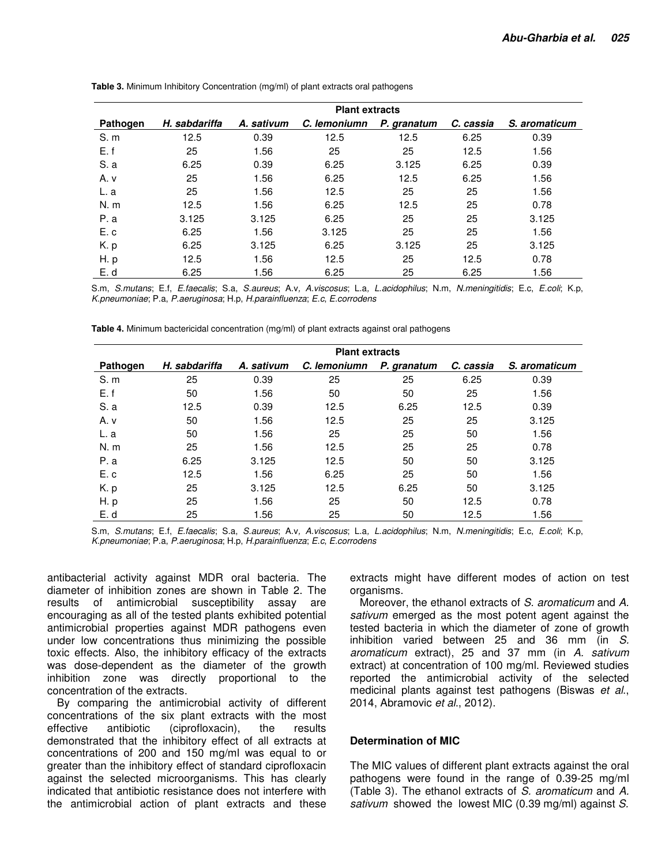|          | <b>Plant extracts</b> |            |              |             |           |               |  |  |  |  |
|----------|-----------------------|------------|--------------|-------------|-----------|---------------|--|--|--|--|
| Pathogen | H. sabdariffa         | A. sativum | C. lemoniumn | P. granatum | C. cassia | S. aromaticum |  |  |  |  |
| S.m      | 12.5                  | 0.39       | 12.5         | 12.5        | 6.25      | 0.39          |  |  |  |  |
| E.f      | 25                    | 1.56       | 25           | 25          | 12.5      | 1.56          |  |  |  |  |
| S.a      | 6.25                  | 0.39       | 6.25         | 3.125       | 6.25      | 0.39          |  |  |  |  |
| A. v     | 25                    | 1.56       | 6.25         | 12.5        | 6.25      | 1.56          |  |  |  |  |
| L. a     | 25                    | 1.56       | 12.5         | 25          | 25        | 1.56          |  |  |  |  |
| N. m     | 12.5                  | 1.56       | 6.25         | 12.5        | 25        | 0.78          |  |  |  |  |
| P.a      | 3.125                 | 3.125      | 6.25         | 25          | 25        | 3.125         |  |  |  |  |
| E.c      | 6.25                  | 1.56       | 3.125        | 25          | 25        | 1.56          |  |  |  |  |
| K.p      | 6.25                  | 3.125      | 6.25         | 3.125       | 25        | 3.125         |  |  |  |  |
| H. p     | 12.5                  | 1.56       | 12.5         | 25          | 12.5      | 0.78          |  |  |  |  |
| E. d     | 6.25                  | 1.56       | 6.25         | 25          | 6.25      | 1.56          |  |  |  |  |

**Table 3.** Minimum Inhibitory Concentration (mg/ml) of plant extracts oral pathogens

S.m, S.mutans; E.f, E.faecalis; S.a, S.aureus; A.v, A.viscosus; L.a, L.acidophilus; N.m, N.meningitidis; E.c, E.coli; K.p, K.pneumoniae; P.a, P.aeruginosa; H.p, H.parainfluenza; E.c, E.corrodens

| Table 4. Minimum bactericidal concentration (mg/ml) of plant extracts against oral pathogens |  |  |
|----------------------------------------------------------------------------------------------|--|--|
|----------------------------------------------------------------------------------------------|--|--|

|          | <b>Plant extracts</b> |            |              |             |           |               |  |  |  |  |
|----------|-----------------------|------------|--------------|-------------|-----------|---------------|--|--|--|--|
| Pathogen | H. sabdariffa         | A. sativum | C. lemoniumn | P. granatum | C. cassia | S. aromaticum |  |  |  |  |
| S.m      | 25                    | 0.39       | 25           | 25          | 6.25      | 0.39          |  |  |  |  |
| E.f      | 50                    | 1.56       | 50           | 50          | 25        | 1.56          |  |  |  |  |
| S.a      | 12.5                  | 0.39       | 12.5         | 6.25        | 12.5      | 0.39          |  |  |  |  |
| A. v     | 50                    | 1.56       | 12.5         | 25          | 25        | 3.125         |  |  |  |  |
| L. a     | 50                    | 1.56       | 25           | 25          | 50        | 1.56          |  |  |  |  |
| N. m     | 25                    | 1.56       | 12.5         | 25          | 25        | 0.78          |  |  |  |  |
| P.a      | 6.25                  | 3.125      | 12.5         | 50          | 50        | 3.125         |  |  |  |  |
| E.c      | 12.5                  | 1.56       | 6.25         | 25          | 50        | 1.56          |  |  |  |  |
| K.p      | 25                    | 3.125      | 12.5         | 6.25        | 50        | 3.125         |  |  |  |  |
| H.p      | 25                    | 1.56       | 25           | 50          | 12.5      | 0.78          |  |  |  |  |
| E. d     | 25                    | 1.56       | 25           | 50          | 12.5      | 1.56          |  |  |  |  |

S.m, S.mutans; E.f, E.faecalis; S.a, S.aureus; A.v, A.viscosus; L.a, L.acidophilus; N.m, N.meningitidis; E.c, E.coli; K.p, K.pneumoniae; P.a, P.aeruginosa; H.p, H.parainfluenza; E.c, E.corrodens

antibacterial activity against MDR oral bacteria. The diameter of inhibition zones are shown in Table 2. The results of antimicrobial susceptibility assay are encouraging as all of the tested plants exhibited potential antimicrobial properties against MDR pathogens even under low concentrations thus minimizing the possible toxic effects. Also, the inhibitory efficacy of the extracts was dose-dependent as the diameter of the growth inhibition zone was directly proportional to the concentration of the extracts.

By comparing the antimicrobial activity of different concentrations of the six plant extracts with the most effective antibiotic (ciprofloxacin), the results demonstrated that the inhibitory effect of all extracts at concentrations of 200 and 150 mg/ml was equal to or greater than the inhibitory effect of standard ciprofloxacin against the selected microorganisms. This has clearly indicated that antibiotic resistance does not interfere with the antimicrobial action of plant extracts and these

extracts might have different modes of action on test organisms.

Moreover, the ethanol extracts of S. aromaticum and A. sativum emerged as the most potent agent against the tested bacteria in which the diameter of zone of growth inhibition varied between 25 and 36 mm (in S. aromaticum extract), 25 and 37 mm (in A. sativum extract) at concentration of 100 mg/ml. Reviewed studies reported the antimicrobial activity of the selected medicinal plants against test pathogens (Biswas et al., 2014, Abramovic et al., 2012).

#### **Determination of MIC**

The MIC values of different plant extracts against the oral pathogens were found in the range of 0.39-25 mg/ml (Table 3). The ethanol extracts of S. aromaticum and A. sativum showed the lowest MIC (0.39 mg/ml) against S.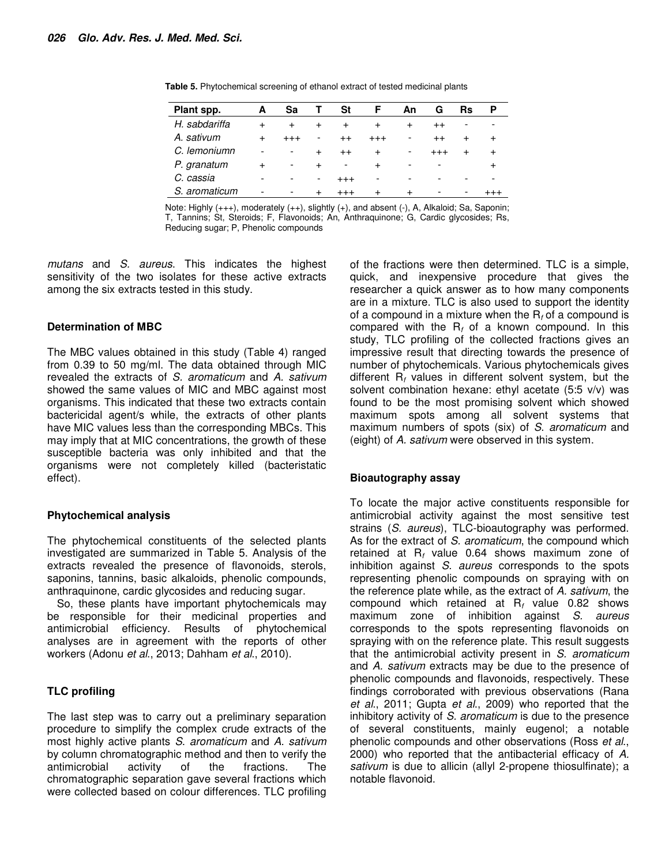| Plant spp.    | А                        | Sa                       |                          | St                       | F         | An.   | G                        | Rs                       | Р         |
|---------------|--------------------------|--------------------------|--------------------------|--------------------------|-----------|-------|--------------------------|--------------------------|-----------|
| H. sabdariffa | $\ddot{}$                |                          | $\ddot{}$                |                          |           | $\pm$ | $^{++}$                  | $\overline{\phantom{a}}$ | -         |
| A. sativum    | $^{+}$                   | $^{+++}$                 | -                        | $^{++}$                  | $^{+++}$  | -     | $^{++}$                  | $\ddot{}$                | $\ddot{}$ |
| C. lemoniumn  | $\overline{\phantom{a}}$ | $\overline{\phantom{a}}$ | $\pm$                    | $^{++}$                  | $\pm$     | -     | $^{+++}$                 | $\ddot{}$                | $\ddot{}$ |
| P. granatum   | $\ddot{}$                | $\overline{\phantom{a}}$ | $\pm$                    | $\overline{\phantom{a}}$ | $\ddot{}$ | -     | $\overline{\phantom{0}}$ |                          | $\,^+$    |
| C. cassia     | -                        |                          | $\overline{\phantom{0}}$ | $^{+++}$                 |           |       | -                        |                          |           |
| S. aromaticum | -                        | -                        | $\div$                   |                          | $\div$    |       |                          | $\overline{\phantom{a}}$ |           |

**Table 5.** Phytochemical screening of ethanol extract of tested medicinal plants

Note: Highly (+++), moderately (++), slightly (+), and absent (-), A, Alkaloid; Sa, Saponin; T, Tannins; St, Steroids; F, Flavonoids; An, Anthraquinone; G, Cardic glycosides; Rs, Reducing sugar; P, Phenolic compounds

mutans and S. aureus. This indicates the highest sensitivity of the two isolates for these active extracts among the six extracts tested in this study.

#### **Determination of MBC**

The MBC values obtained in this study (Table 4) ranged from 0.39 to 50 mg/ml. The data obtained through MIC revealed the extracts of S. aromaticum and A. sativum showed the same values of MIC and MBC against most organisms. This indicated that these two extracts contain bactericidal agent/s while, the extracts of other plants have MIC values less than the corresponding MBCs. This may imply that at MIC concentrations, the growth of these susceptible bacteria was only inhibited and that the organisms were not completely killed (bacteristatic effect).

#### **Phytochemical analysis**

The phytochemical constituents of the selected plants investigated are summarized in Table 5. Analysis of the extracts revealed the presence of flavonoids, sterols, saponins, tannins, basic alkaloids, phenolic compounds, anthraquinone, cardic glycosides and reducing sugar.

So, these plants have important phytochemicals may be responsible for their medicinal properties and antimicrobial efficiency. Results of phytochemical analyses are in agreement with the reports of other workers (Adonu et al., 2013; Dahham et al., 2010).

#### **TLC profiling**

The last step was to carry out a preliminary separation procedure to simplify the complex crude extracts of the most highly active plants S. aromaticum and A. sativum by column chromatographic method and then to verify the antimicrobial activity of the fractions. The chromatographic separation gave several fractions which were collected based on colour differences. TLC profiling

of the fractions were then determined. TLC is a simple, quick, and inexpensive procedure that gives the researcher a quick answer as to how many components are in a mixture. TLC is also used to support the identity of a compound in a mixture when the  $R_f$  of a compound is compared with the  $R_f$  of a known compound. In this study, TLC profiling of the collected fractions gives an impressive result that directing towards the presence of number of phytochemicals. Various phytochemicals gives different  $R_f$  values in different solvent system, but the solvent combination hexane: ethyl acetate (5:5 v/v) was found to be the most promising solvent which showed maximum spots among all solvent systems that maximum numbers of spots (six) of S. aromaticum and (eight) of A. sativum were observed in this system.

#### **Bioautography assay**

To locate the major active constituents responsible for antimicrobial activity against the most sensitive test strains (S. aureus), TLC-bioautography was performed. As for the extract of S. aromaticum, the compound which retained at  $R_f$  value 0.64 shows maximum zone of inhibition against S. aureus corresponds to the spots representing phenolic compounds on spraying with on the reference plate while, as the extract of A, sativum, the compound which retained at  $R_f$  value 0.82 shows maximum zone of inhibition against S. aureus corresponds to the spots representing flavonoids on spraying with on the reference plate. This result suggests that the antimicrobial activity present in S. aromaticum and A. sativum extracts may be due to the presence of phenolic compounds and flavonoids, respectively. These findings corroborated with previous observations (Rana et al., 2011; Gupta et al., 2009) who reported that the inhibitory activity of S. aromaticum is due to the presence of several constituents, mainly eugenol; a notable phenolic compounds and other observations (Ross et al., 2000) who reported that the antibacterial efficacy of A. sativum is due to allicin (allyl 2-propene thiosulfinate); a notable flavonoid.